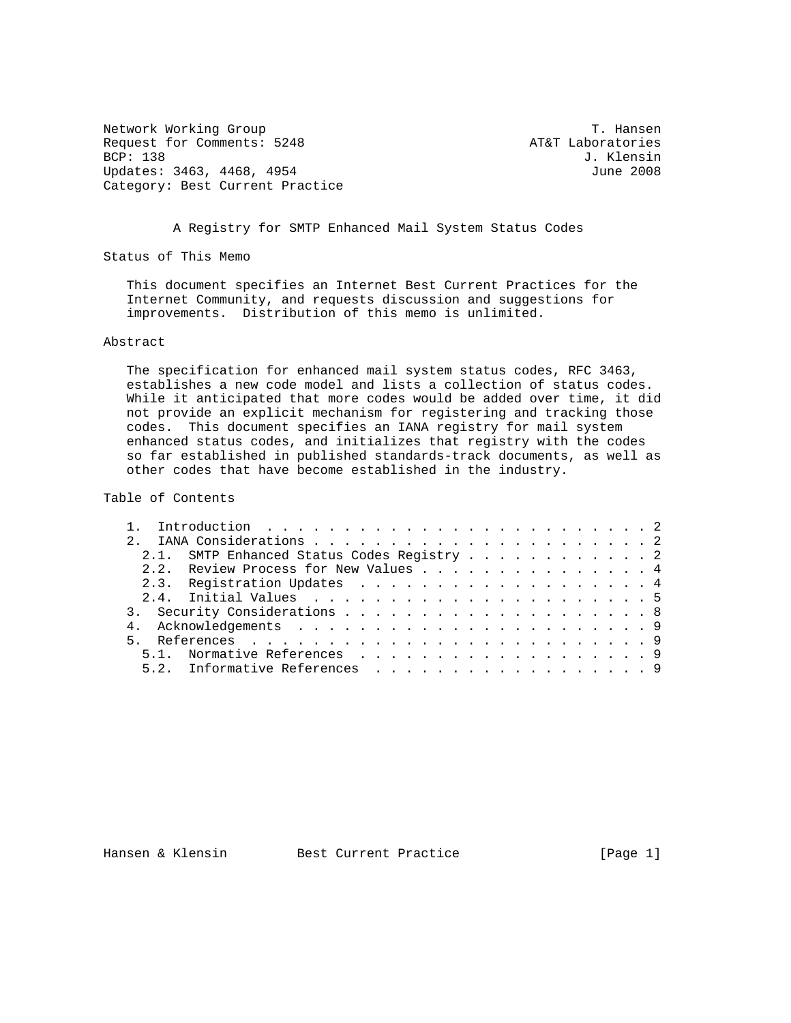Network Working Group T. Hansen Request for Comments: 5248 AT&T Laboratories<br>BCP: 138 J. Klensin Updates: 3463, 4468, 4954 Category: Best Current Practice

J. Klensin<br>June 2008

A Registry for SMTP Enhanced Mail System Status Codes

Status of This Memo

 This document specifies an Internet Best Current Practices for the Internet Community, and requests discussion and suggestions for improvements. Distribution of this memo is unlimited.

## Abstract

 The specification for enhanced mail system status codes, RFC 3463, establishes a new code model and lists a collection of status codes. While it anticipated that more codes would be added over time, it did not provide an explicit mechanism for registering and tracking those codes. This document specifies an IANA registry for mail system enhanced status codes, and initializes that registry with the codes so far established in published standards-track documents, as well as other codes that have become established in the industry.

Table of Contents

| 2.1. SMTP Enhanced Status Codes Registry 2 |  |  |  |  |  |  |  |  |  |
|--------------------------------------------|--|--|--|--|--|--|--|--|--|
| 2.2. Review Process for New Values 4       |  |  |  |  |  |  |  |  |  |
| 2.3. Registration Updates 4                |  |  |  |  |  |  |  |  |  |
|                                            |  |  |  |  |  |  |  |  |  |
|                                            |  |  |  |  |  |  |  |  |  |
|                                            |  |  |  |  |  |  |  |  |  |
|                                            |  |  |  |  |  |  |  |  |  |
| 5.1. Normative References 9                |  |  |  |  |  |  |  |  |  |
| 5.2. Informative References 9              |  |  |  |  |  |  |  |  |  |

Hansen & Klensin Best Current Practice [Page 1]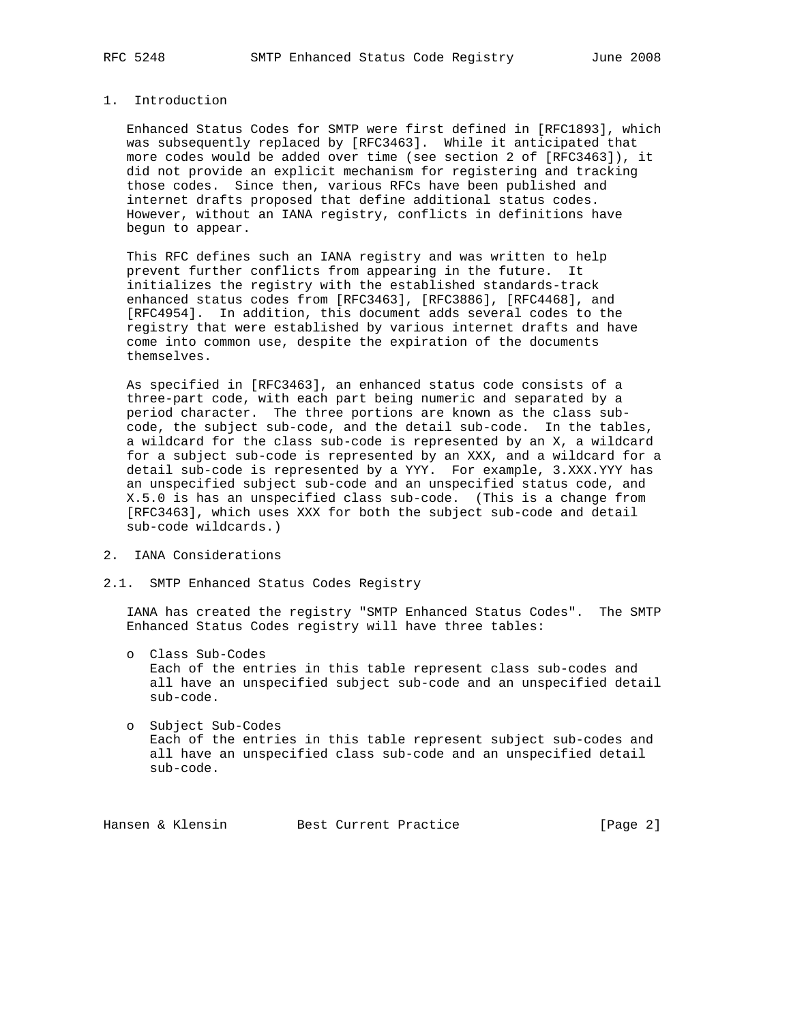# 1. Introduction

 Enhanced Status Codes for SMTP were first defined in [RFC1893], which was subsequently replaced by [RFC3463]. While it anticipated that more codes would be added over time (see section 2 of [RFC3463]), it did not provide an explicit mechanism for registering and tracking those codes. Since then, various RFCs have been published and internet drafts proposed that define additional status codes. However, without an IANA registry, conflicts in definitions have begun to appear.

 This RFC defines such an IANA registry and was written to help prevent further conflicts from appearing in the future. It initializes the registry with the established standards-track enhanced status codes from [RFC3463], [RFC3886], [RFC4468], and [RFC4954]. In addition, this document adds several codes to the registry that were established by various internet drafts and have come into common use, despite the expiration of the documents themselves.

 As specified in [RFC3463], an enhanced status code consists of a three-part code, with each part being numeric and separated by a period character. The three portions are known as the class sub code, the subject sub-code, and the detail sub-code. In the tables, a wildcard for the class sub-code is represented by an X, a wildcard for a subject sub-code is represented by an XXX, and a wildcard for a detail sub-code is represented by a YYY. For example, 3.XXX.YYY has an unspecified subject sub-code and an unspecified status code, and X.5.0 is has an unspecified class sub-code. (This is a change from [RFC3463], which uses XXX for both the subject sub-code and detail sub-code wildcards.)

- 2. IANA Considerations
- 2.1. SMTP Enhanced Status Codes Registry

 IANA has created the registry "SMTP Enhanced Status Codes". The SMTP Enhanced Status Codes registry will have three tables:

 o Class Sub-Codes Each of the entries in this table represent class sub-codes and all have an unspecified subject sub-code and an unspecified detail sub-code.

 o Subject Sub-Codes Each of the entries in this table represent subject sub-codes and all have an unspecified class sub-code and an unspecified detail sub-code.

Hansen & Klensin Best Current Practice [Page 2]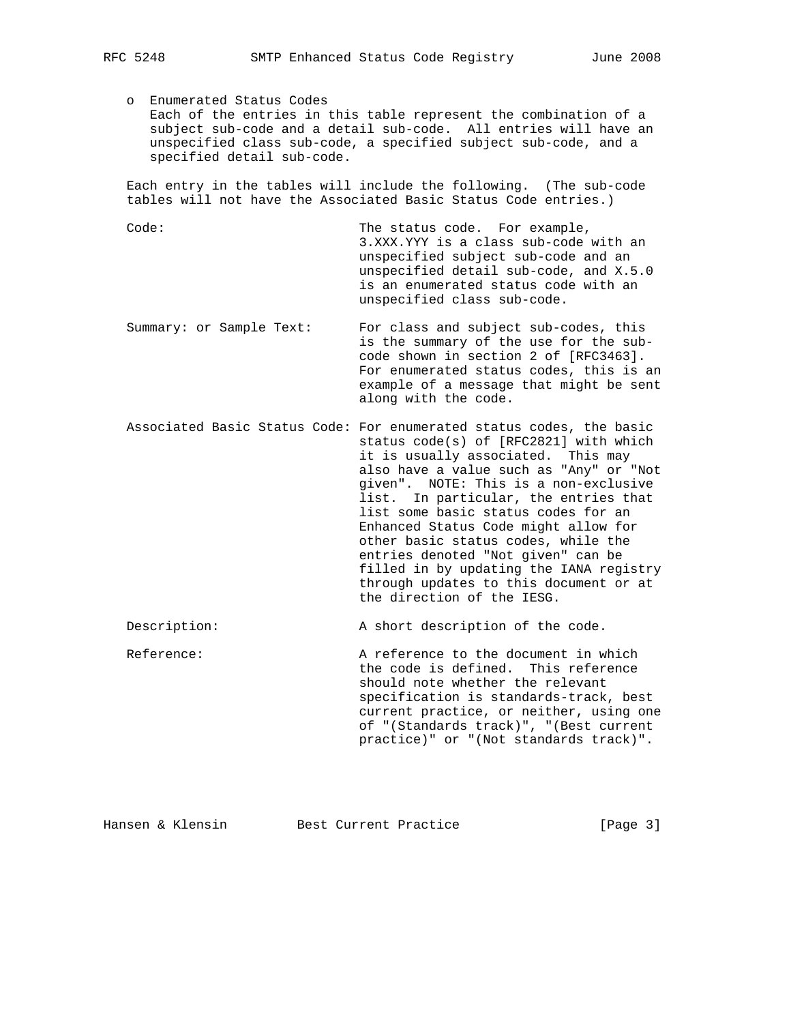o Enumerated Status Codes Each of the entries in this table represent the combination of a subject sub-code and a detail sub-code. All entries will have an unspecified class sub-code, a specified subject sub-code, and a specified detail sub-code.

 Each entry in the tables will include the following. (The sub-code tables will not have the Associated Basic Status Code entries.)

Code: The status code. For example, 3.XXX.YYY is a class sub-code with an unspecified subject sub-code and an unspecified detail sub-code, and X.5.0 is an enumerated status code with an unspecified class sub-code.

- Summary: or Sample Text: For class and subject sub-codes, this is the summary of the use for the sub code shown in section 2 of [RFC3463]. For enumerated status codes, this is an example of a message that might be sent along with the code.
- Associated Basic Status Code: For enumerated status codes, the basic status code(s) of [RFC2821] with which it is usually associated. This may also have a value such as "Any" or "Not given". NOTE: This is a non-exclusive list. In particular, the entries that list some basic status codes for an Enhanced Status Code might allow for other basic status codes, while the entries denoted "Not given" can be filled in by updating the IANA registry through updates to this document or at the direction of the IESG.

Description: A short description of the code.

 Reference: A reference to the document in which the code is defined. This reference should note whether the relevant specification is standards-track, best current practice, or neither, using one of "(Standards track)", "(Best current practice)" or "(Not standards track)".

Hansen & Klensin Best Current Practice [Page 3]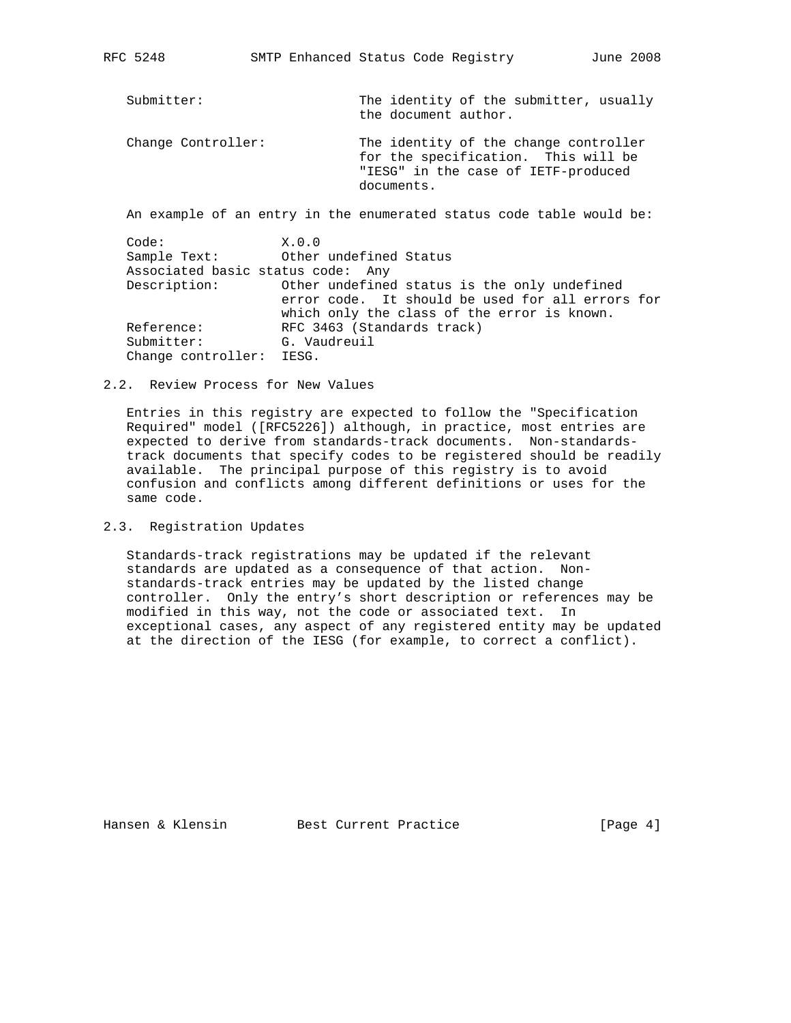| Submitter:         | The identity of the submitter, usually<br>the document author.                                                                    |
|--------------------|-----------------------------------------------------------------------------------------------------------------------------------|
| Change Controller: | The identity of the change controller<br>for the specification. This will be<br>"IESG" in the case of IETF-produced<br>documents. |
|                    | An example of an entry in the enumerated status code table would be:                                                              |

 Code: X.0.0 Sample Text: Other undefined Status Associated basic status code: Any Description: Other undefined status is the only undefined error code. It should be used for all errors for which only the class of the error is known. Reference: RFC 3463 (Standards track) Submitter: G. Vaudreuil Change controller: IESG.

### 2.2. Review Process for New Values

 Entries in this registry are expected to follow the "Specification Required" model ([RFC5226]) although, in practice, most entries are expected to derive from standards-track documents. Non-standards track documents that specify codes to be registered should be readily available. The principal purpose of this registry is to avoid confusion and conflicts among different definitions or uses for the same code.

# 2.3. Registration Updates

 Standards-track registrations may be updated if the relevant standards are updated as a consequence of that action. Non standards-track entries may be updated by the listed change controller. Only the entry's short description or references may be modified in this way, not the code or associated text. In exceptional cases, any aspect of any registered entity may be updated at the direction of the IESG (for example, to correct a conflict).

Hansen & Klensin Best Current Practice [Page 4]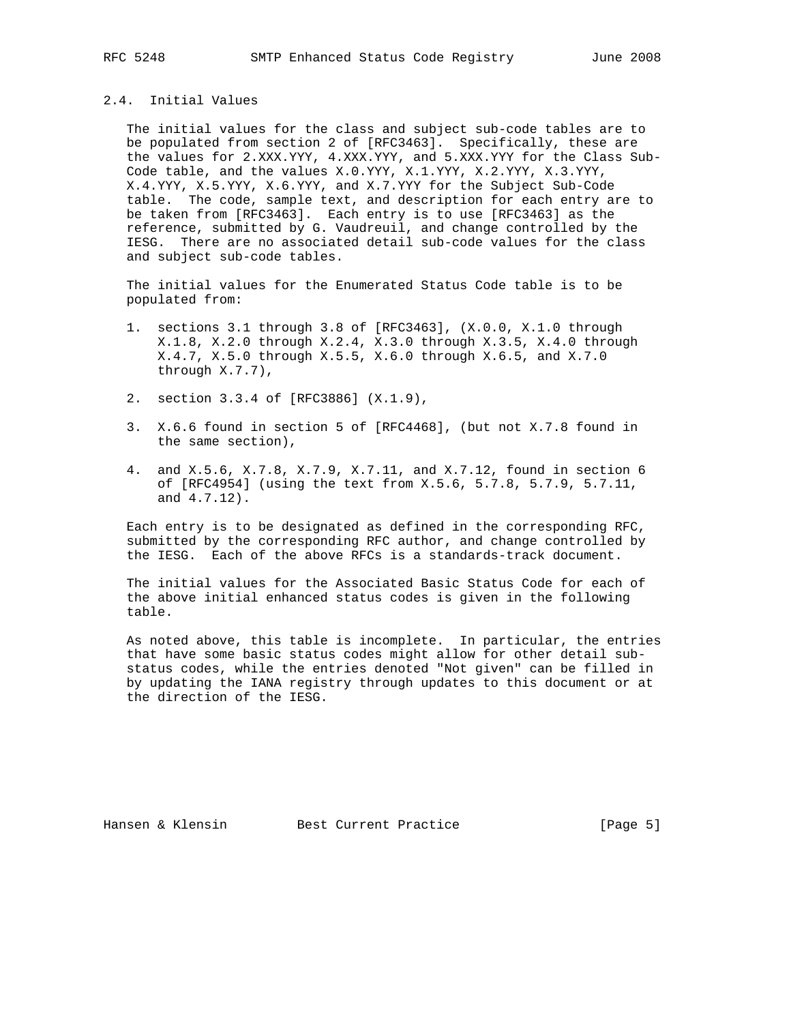## 2.4. Initial Values

 The initial values for the class and subject sub-code tables are to be populated from section 2 of [RFC3463]. Specifically, these are the values for 2.XXX.YYY, 4.XXX.YYY, and 5.XXX.YYY for the Class Sub- Code table, and the values X.0.YYY, X.1.YYY, X.2.YYY, X.3.YYY, X.4.YYY, X.5.YYY, X.6.YYY, and X.7.YYY for the Subject Sub-Code table. The code, sample text, and description for each entry are to be taken from [RFC3463]. Each entry is to use [RFC3463] as the reference, submitted by G. Vaudreuil, and change controlled by the IESG. There are no associated detail sub-code values for the class and subject sub-code tables.

 The initial values for the Enumerated Status Code table is to be populated from:

- 1. sections 3.1 through 3.8 of [RFC3463], (X.0.0, X.1.0 through X.1.8, X.2.0 through X.2.4, X.3.0 through X.3.5, X.4.0 through X.4.7, X.5.0 through X.5.5, X.6.0 through X.6.5, and X.7.0 through X.7.7),
- 2. section 3.3.4 of [RFC3886] (X.1.9),
- 3. X.6.6 found in section 5 of [RFC4468], (but not X.7.8 found in the same section),
- 4. and X.5.6, X.7.8, X.7.9, X.7.11, and X.7.12, found in section 6 of [RFC4954] (using the text from X.5.6, 5.7.8, 5.7.9, 5.7.11, and 4.7.12).

 Each entry is to be designated as defined in the corresponding RFC, submitted by the corresponding RFC author, and change controlled by the IESG. Each of the above RFCs is a standards-track document.

 The initial values for the Associated Basic Status Code for each of the above initial enhanced status codes is given in the following table.

 As noted above, this table is incomplete. In particular, the entries that have some basic status codes might allow for other detail sub status codes, while the entries denoted "Not given" can be filled in by updating the IANA registry through updates to this document or at the direction of the IESG.

Hansen & Klensin Best Current Practice [Page 5]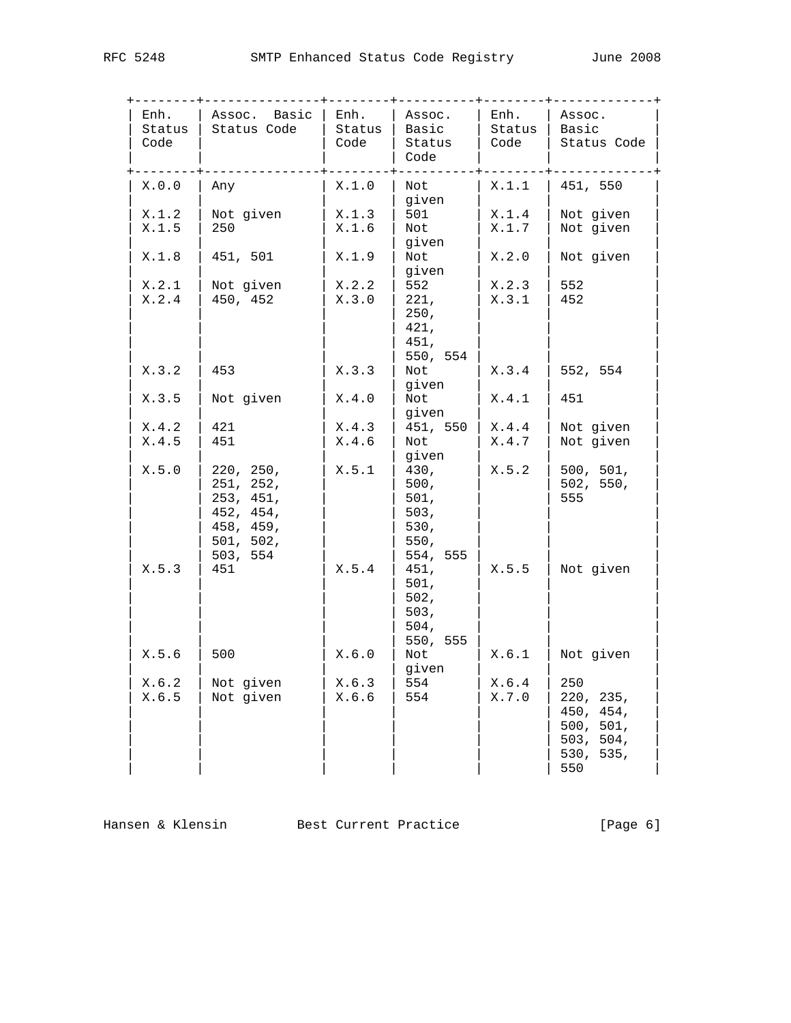| Enh.<br>Status<br>Code | Assoc. Basic<br>Status Code                                                            | Enh.<br>Status<br>Code | Assoc.<br>Basic<br>Status<br>Code                        | Enh.<br>Status<br>Code | Assoc.<br>Basic<br>Status Code                                              |
|------------------------|----------------------------------------------------------------------------------------|------------------------|----------------------------------------------------------|------------------------|-----------------------------------------------------------------------------|
| X.0.0                  | Any                                                                                    | X.1.0                  | Not<br>given                                             | X.1.1                  | 451, 550                                                                    |
| X.1.2<br>X.1.5         | Not given<br>250                                                                       | X.1.3<br>X.1.6         | 501<br>Not<br>given                                      | X.1.4<br>X.1.7         | Not given<br>Not given                                                      |
| X.1.8                  | 451, 501                                                                               | X.1.9                  | Not<br>given                                             | X.2.0                  | Not given                                                                   |
| X.2.1<br>X.2.4         | Not given<br>450, 452                                                                  | X.2.2<br>X.3.0         | 552<br>221,<br>250,<br>421,<br>451,<br>550, 554          | X.2.3<br>X.3.1         | 552<br>452                                                                  |
| X.3.2                  | 453                                                                                    | X.3.3                  | Not<br>given                                             | X.3.4                  | 552, 554                                                                    |
| X.3.5                  | Not given                                                                              | X.4.0                  | Not<br>given                                             | X.4.1                  | 451                                                                         |
| X.4.2<br>X.4.5         | 421<br>451                                                                             | X.4.3<br>X.4.6         | 451, 550<br>Not<br>given                                 | X.4.4<br>X.4.7         | Not given<br>Not given                                                      |
| X.5.0                  | 220, 250,<br>251, 252,<br>253, 451,<br>452, 454,<br>458, 459,<br>501, 502,<br>503, 554 | X.5.1                  | 430,<br>500,<br>501,<br>503,<br>530,<br>550,<br>554, 555 | X.5.2                  | 500, 501,<br>502, 550,<br>555                                               |
| X.5.3                  | 451                                                                                    | X.5.4                  | 451,<br>501,<br>502,<br>503,<br>504,<br>550, 555         | X.5.5                  | Not given                                                                   |
| X.5.6                  | 500                                                                                    | X.6.0                  | Not<br>given                                             | X.6.1                  | Not given                                                                   |
| X.6.2<br>X.6.5         | Not given<br>Not given                                                                 | X.6.3<br>X.6.6         | 554<br>554                                               | X.6.4<br>X.7.0         | 250<br>220, 235,<br>450, 454,<br>500, 501,<br>503, 504,<br>530, 535,<br>550 |

Hansen & Klensin Best Current Practice [Page 6]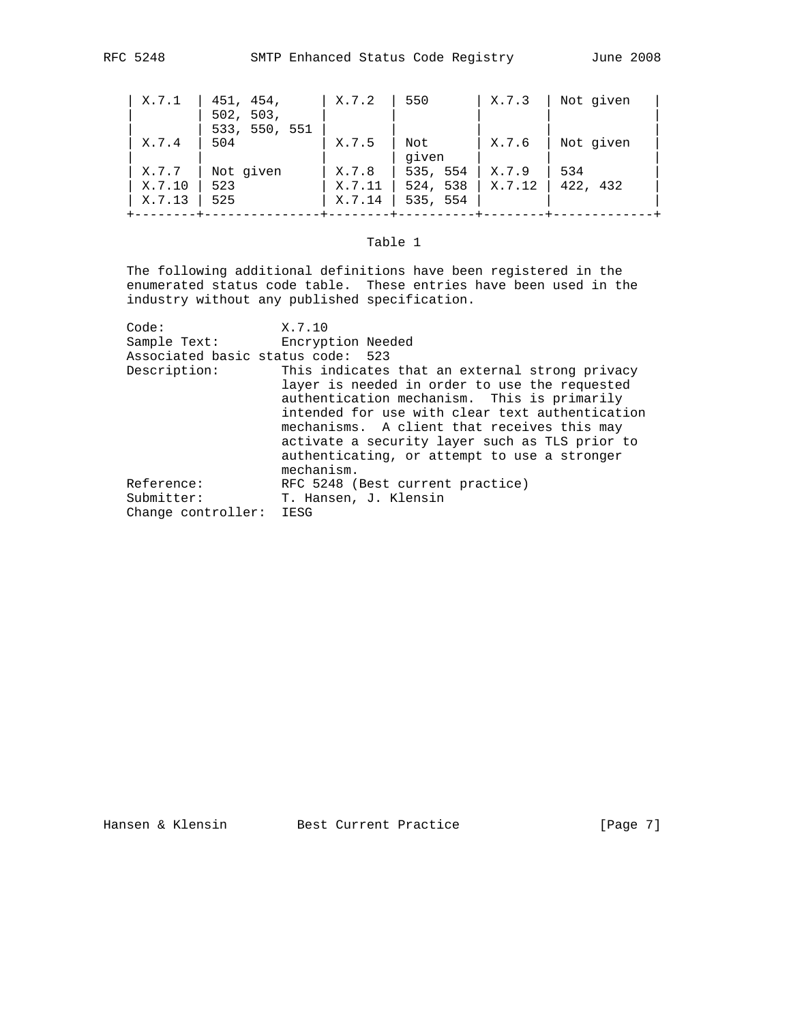| X.7.1  | 451, 454,                  | X.7.2  | 550      | X.7.3  | Not given |
|--------|----------------------------|--------|----------|--------|-----------|
|        | 502, 503,<br>533, 550, 551 |        |          |        |           |
| X.7.4  | 504                        | X.7.5  | Not      | X.7.6  | Not given |
|        |                            |        | given    |        |           |
| X.7.7  | Not given                  | X.7.8  | 535, 554 | X.7.9  | 534       |
| X.7.10 | 523                        | X.7.11 | 524, 538 | X.7.12 | 422, 432  |
| X.7.13 | 525                        | X.7.14 | 535, 554 |        |           |
|        |                            |        |          |        |           |

# Table 1

 The following additional definitions have been registered in the enumerated status code table. These entries have been used in the industry without any published specification.

| Code:                             | X.7.10                                                                                                                                                                                                                                                                                             |
|-----------------------------------|----------------------------------------------------------------------------------------------------------------------------------------------------------------------------------------------------------------------------------------------------------------------------------------------------|
| Sample Text:                      | Encryption Needed                                                                                                                                                                                                                                                                                  |
| Associated basic status code: 523 |                                                                                                                                                                                                                                                                                                    |
| Description:                      | This indicates that an external strong privacy<br>layer is needed in order to use the requested<br>authentication mechanism. This is primarily<br>intended for use with clear text authentication<br>mechanisms. A client that receives this may<br>activate a security layer such as TLS prior to |
|                                   | authenticating, or attempt to use a stronger                                                                                                                                                                                                                                                       |
|                                   | mechanism.                                                                                                                                                                                                                                                                                         |
| Reference:                        | RFC 5248 (Best current practice)                                                                                                                                                                                                                                                                   |
| Submitter:                        | T. Hansen, J. Klensin                                                                                                                                                                                                                                                                              |
| Change controller:                | IESG                                                                                                                                                                                                                                                                                               |

Hansen & Klensin Best Current Practice [Page 7]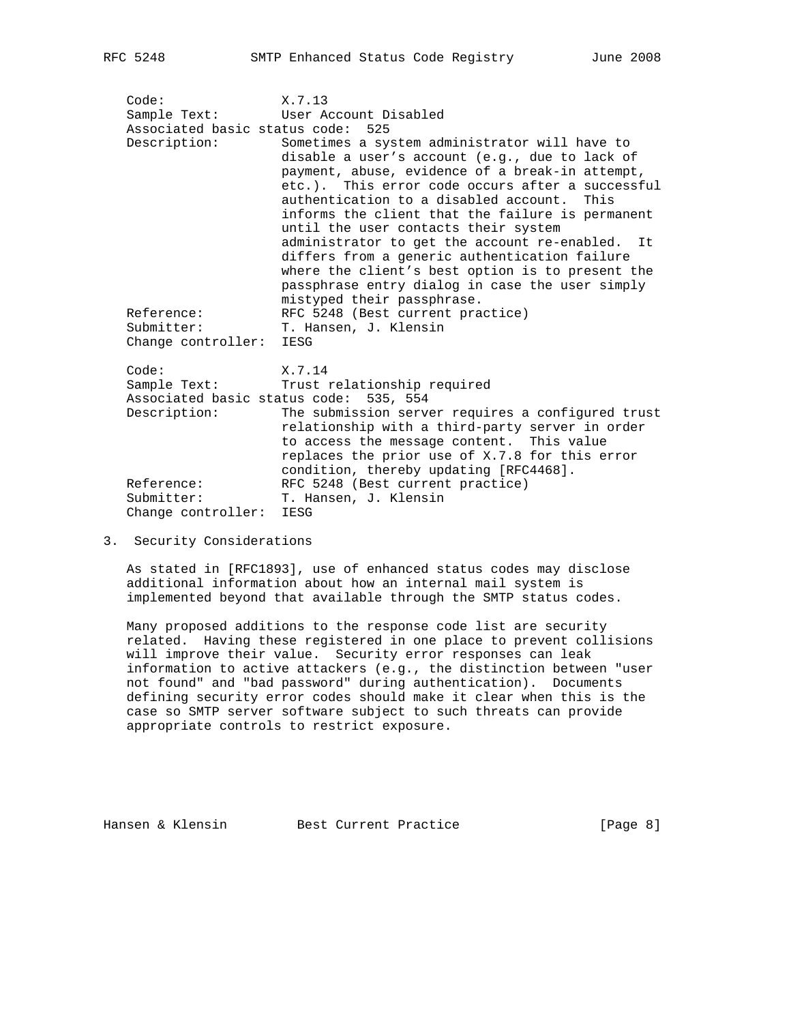Code: X.7.13 Sample Text: User Account Disabled Associated basic status code: 525 Description: Sometimes a system administrator will have to disable a user's account (e.g., due to lack of payment, abuse, evidence of a break-in attempt, etc.). This error code occurs after a successful authentication to a disabled account. This informs the client that the failure is permanent until the user contacts their system administrator to get the account re-enabled. It differs from a generic authentication failure where the client's best option is to present the passphrase entry dialog in case the user simply mistyped their passphrase.<br>REC 5248 (Best current pra RFC 5248 (Best current practice) Submitter: T. Hansen, J. Klensin Change controller: IESG Code: X.7.14 Sample Text: Trust relationship required Associated basic status code: 535, 554 Description: The submission server requires a configured trust relationship with a third-party server in order to access the message content. This value replaces the prior use of X.7.8 for this error condition, thereby updating [RFC4468]. Reference: RFC 5248 (Best current practice)<br>Submitter: T. Hansen, J. Klensin T. Hansen, J. Klensin Change controller: IESG

3. Security Considerations

 As stated in [RFC1893], use of enhanced status codes may disclose additional information about how an internal mail system is implemented beyond that available through the SMTP status codes.

 Many proposed additions to the response code list are security related. Having these registered in one place to prevent collisions will improve their value. Security error responses can leak information to active attackers (e.g., the distinction between "user not found" and "bad password" during authentication). Documents defining security error codes should make it clear when this is the case so SMTP server software subject to such threats can provide appropriate controls to restrict exposure.

Hansen & Klensin Best Current Practice [Page 8]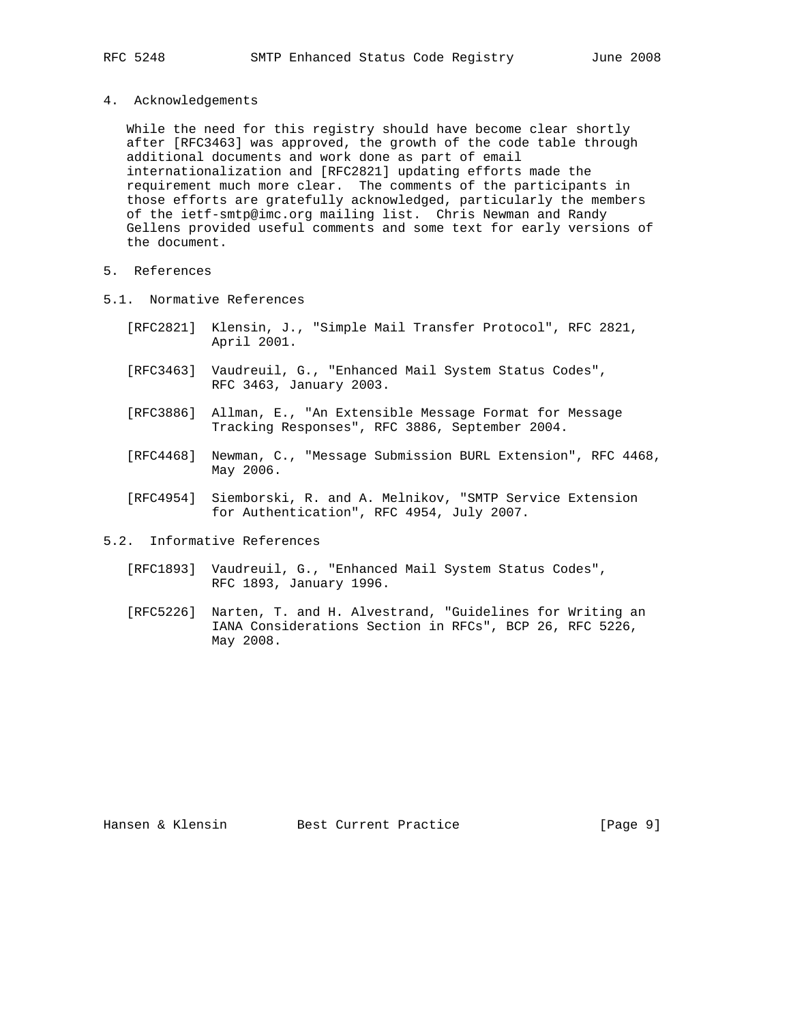- 
- 4. Acknowledgements

 While the need for this registry should have become clear shortly after [RFC3463] was approved, the growth of the code table through additional documents and work done as part of email internationalization and [RFC2821] updating efforts made the requirement much more clear. The comments of the participants in those efforts are gratefully acknowledged, particularly the members of the ietf-smtp@imc.org mailing list. Chris Newman and Randy Gellens provided useful comments and some text for early versions of the document.

- 5. References
- 5.1. Normative References
	- [RFC2821] Klensin, J., "Simple Mail Transfer Protocol", RFC 2821, April 2001.
	- [RFC3463] Vaudreuil, G., "Enhanced Mail System Status Codes", RFC 3463, January 2003.
	- [RFC3886] Allman, E., "An Extensible Message Format for Message Tracking Responses", RFC 3886, September 2004.
	- [RFC4468] Newman, C., "Message Submission BURL Extension", RFC 4468, May 2006.
	- [RFC4954] Siemborski, R. and A. Melnikov, "SMTP Service Extension for Authentication", RFC 4954, July 2007.
- 5.2. Informative References
	- [RFC1893] Vaudreuil, G., "Enhanced Mail System Status Codes", RFC 1893, January 1996.
	- [RFC5226] Narten, T. and H. Alvestrand, "Guidelines for Writing an IANA Considerations Section in RFCs", BCP 26, RFC 5226, May 2008.

Hansen & Klensin Best Current Practice [Page 9]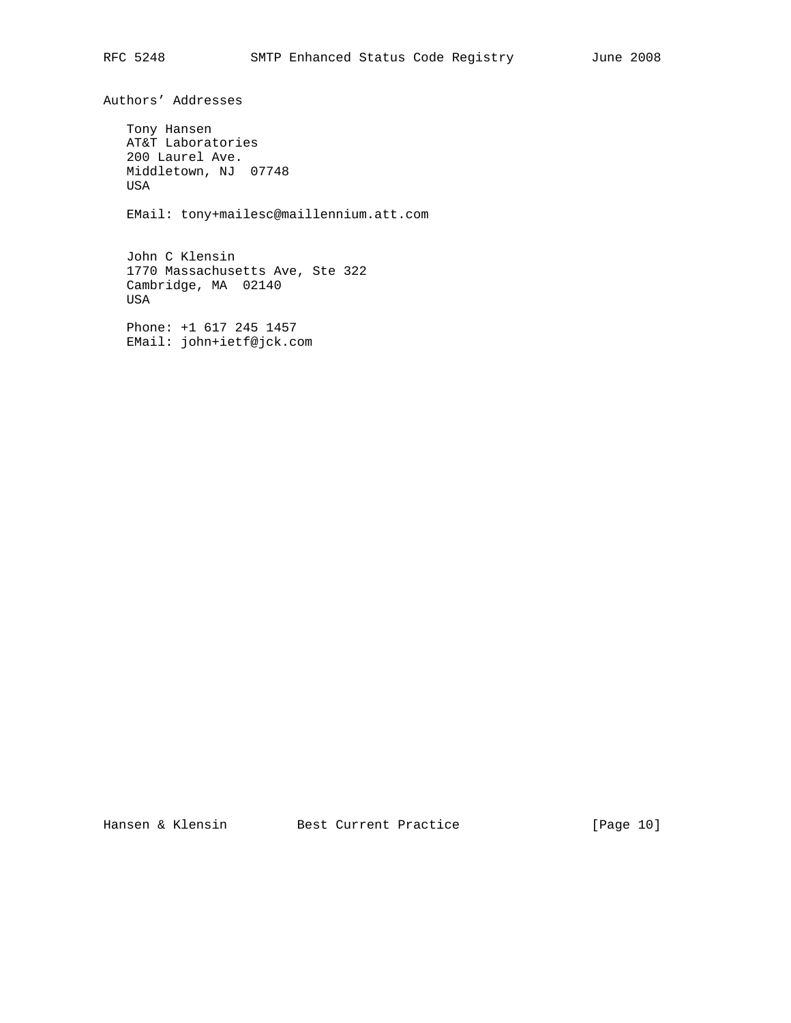Authors' Addresses Tony Hansen AT&T Laboratories 200 Laurel Ave. Middletown, NJ 07748 USA EMail: tony+mailesc@maillennium.att.com John C Klensin 1770 Massachusetts Ave, Ste 322 Cambridge, MA 02140 USA

 Phone: +1 617 245 1457 EMail: john+ietf@jck.com

Hansen & Klensin Best Current Practice [Page 10]